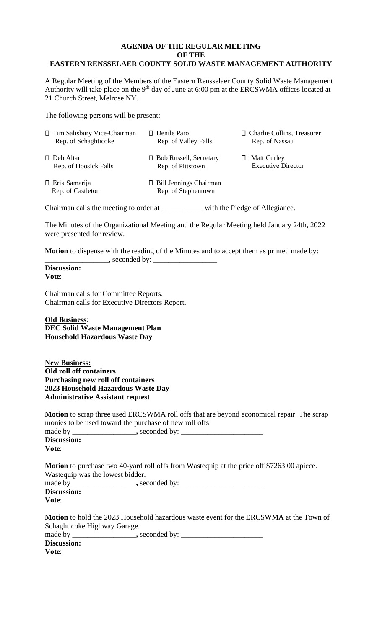## **AGENDA OF THE REGULAR MEETING OF THE EASTERN RENSSELAER COUNTY SOLID WASTE MANAGEMENT AUTHORITY**

A Regular Meeting of the Members of the Eastern Rensselaer County Solid Waste Management Authority will take place on the  $9<sup>th</sup>$  day of June at 6:00 pm at the ERCSWMA offices located at 21 Church Street, Melrose NY.

The following persons will be present:

| □ Tim Salisbury Vice-Chairman<br>Rep. of Schaghticoke | $\Box$ Denile Paro<br>Rep. of Valley Falls           | □ Charlie Collins, Treasurer<br>Rep. of Nassau       |
|-------------------------------------------------------|------------------------------------------------------|------------------------------------------------------|
| $\Box$ Deb Altar<br>Rep. of Hoosick Falls             | $\Box$ Bob Russell, Secretary<br>Rep. of Pittstown   | <b>Matt Curley</b><br>П<br><b>Executive Director</b> |
| $\Box$ Erik Samarija<br>Rep. of Castleton             | $\Box$ Bill Jennings Chairman<br>Rep. of Stephentown |                                                      |
| Chairman calls the meeting to order at                |                                                      | with the Pledge of Allegiance.                       |

The Minutes of the Organizational Meeting and the Regular Meeting held January 24th, 2022 were presented for review.

**Motion** to dispense with the reading of the Minutes and to accept them as printed made by:  $\equiv$ , seconded by:

**Discussion: Vote**:

Chairman calls for Committee Reports. Chairman calls for Executive Directors Report.

**Old Business**: **DEC Solid Waste Management Plan Household Hazardous Waste Day** 

**New Business: Old roll off containers Purchasing new roll off containers 2023 Household Hazardous Waste Day Administrative Assistant request**

**Motion** to scrap three used ERCSWMA roll offs that are beyond economical repair. The scrap monies to be used toward the purchase of new roll offs.

| made by     | , seconded by: |  |
|-------------|----------------|--|
| Discussion: |                |  |
| Vote:       |                |  |

**Motion** to purchase two 40-yard roll offs from Wastequip at the price off \$7263.00 apiece. Wastequip was the lowest bidder.

| made by     | $\Box$ , seconded by: |  |
|-------------|-----------------------|--|
| Discussion: |                       |  |
| Vote:       |                       |  |

**Motion** to hold the 2023 Household hazardous waste event for the ERCSWMA at the Town of Schaghticoke Highway Garage.

| made by            | , seconded by: |
|--------------------|----------------|
| <b>Discussion:</b> |                |

**Vote**: